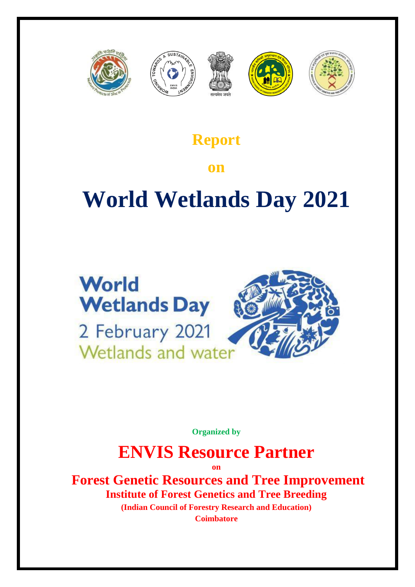

### **Report**

### **on**

## **World Wetlands Day 2021**



**Organized by**

### **ENVIS Resource Partner**

**on**

**Forest Genetic Resources and Tree Improvement Institute of Forest Genetics and Tree Breeding (Indian Council of Forestry Research and Education)**

**Coimbatore**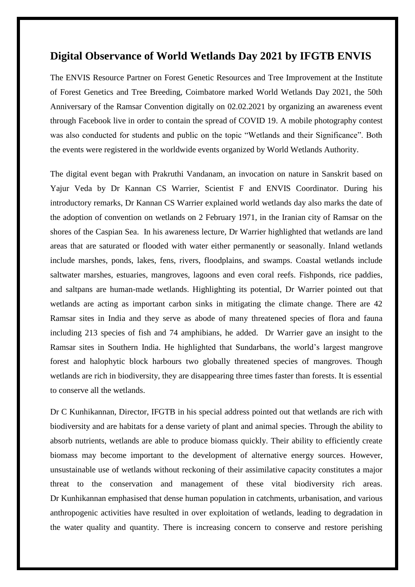#### **Digital Observance of World Wetlands Day 2021 by IFGTB ENVIS**

The ENVIS Resource Partner on Forest Genetic Resources and Tree Improvement at the Institute of Forest Genetics and Tree Breeding, Coimbatore marked World Wetlands Day 2021, the 50th Anniversary of the Ramsar Convention digitally on 02.02.2021 by organizing an awareness event through Facebook live in order to contain the spread of COVID 19. A mobile photography contest was also conducted for students and public on the topic "Wetlands and their Significance". Both the events were registered in the worldwide events organized by World Wetlands Authority.

The digital event began with Prakruthi Vandanam, an invocation on nature in Sanskrit based on Yajur Veda by Dr Kannan CS Warrier, Scientist F and ENVIS Coordinator. During his introductory remarks, Dr Kannan CS Warrier explained world wetlands day also marks the date of the adoption of convention on wetlands on 2 February 1971, in the Iranian city of Ramsar on the shores of the Caspian Sea. In his awareness lecture, Dr Warrier highlighted that wetlands are land areas that are saturated or flooded with water either permanently or seasonally. Inland wetlands include marshes, ponds, lakes, fens, rivers, floodplains, and swamps. Coastal wetlands include saltwater marshes, estuaries, mangroves, lagoons and even coral reefs. Fishponds, rice paddies, and saltpans are human-made wetlands. Highlighting its potential, Dr Warrier pointed out that wetlands are acting as important carbon sinks in mitigating the climate change. There are 42 Ramsar sites in India and they serve as abode of many threatened species of flora and fauna including 213 species of fish and 74 amphibians, he added. Dr Warrier gave an insight to the Ramsar sites in Southern India. He highlighted that Sundarbans, the world's largest mangrove forest and halophytic block harbours two globally threatened species of mangroves. Though wetlands are rich in biodiversity, they are disappearing three times faster than forests. It is essential to conserve all the wetlands.

Dr C Kunhikannan, Director, IFGTB in his special address pointed out that wetlands are rich with biodiversity and are habitats for a dense variety of plant and animal species. Through the ability to absorb nutrients, wetlands are able to produce biomass quickly. Their ability to efficiently create biomass may become important to the development of alternative energy sources. However, unsustainable use of wetlands without reckoning of their assimilative capacity constitutes a major threat to the conservation and management of these vital biodiversity rich areas. Dr Kunhikannan emphasised that dense human population in catchments, urbanisation, and various anthropogenic activities have resulted in over exploitation of wetlands, leading to degradation in the water quality and quantity. There is increasing concern to conserve and restore perishing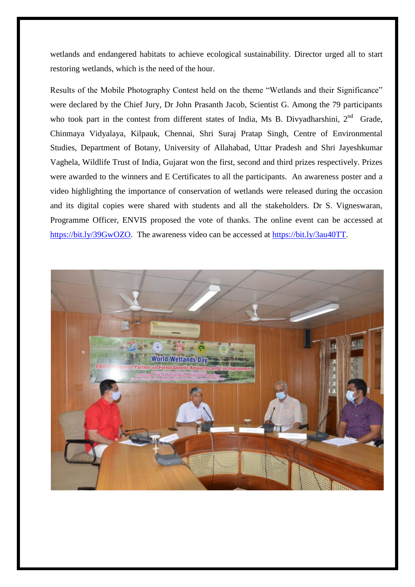wetlands and endangered habitats to achieve ecological sustainability. Director urged all to start restoring wetlands, which is the need of the hour.

Results of the Mobile Photography Contest held on the theme "Wetlands and their Significance" were declared by the Chief Jury, Dr John Prasanth Jacob, Scientist G. Among the 79 participants who took part in the contest from different states of India, Ms B. Divyadharshini,  $2<sup>nd</sup>$  Grade, Chinmaya Vidyalaya, Kilpauk, Chennai, Shri Suraj Pratap Singh, Centre of Environmental Studies, Department of Botany, University of Allahabad, Uttar Pradesh and Shri Jayeshkumar Vaghela, Wildlife Trust of India, Gujarat won the first, second and third prizes respectively. Prizes were awarded to the winners and E Certificates to all the participants. An awareness poster and a video highlighting the importance of conservation of wetlands were released during the occasion and its digital copies were shared with students and all the stakeholders. Dr S. Vigneswaran, Programme Officer, ENVIS proposed the vote of thanks. The online event can be accessed at [https://bit.ly/39GwOZO.](https://bit.ly/39GwOZO) The awareness video can be accessed at [https://bit.ly/3au40TT.](https://bit.ly/3au40TT)

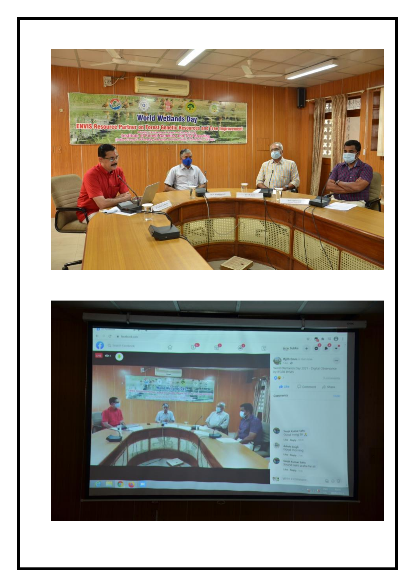

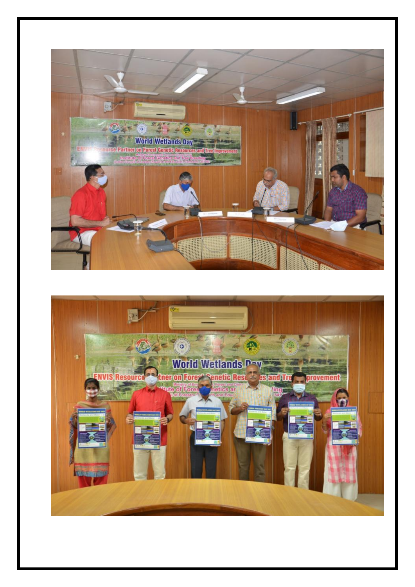